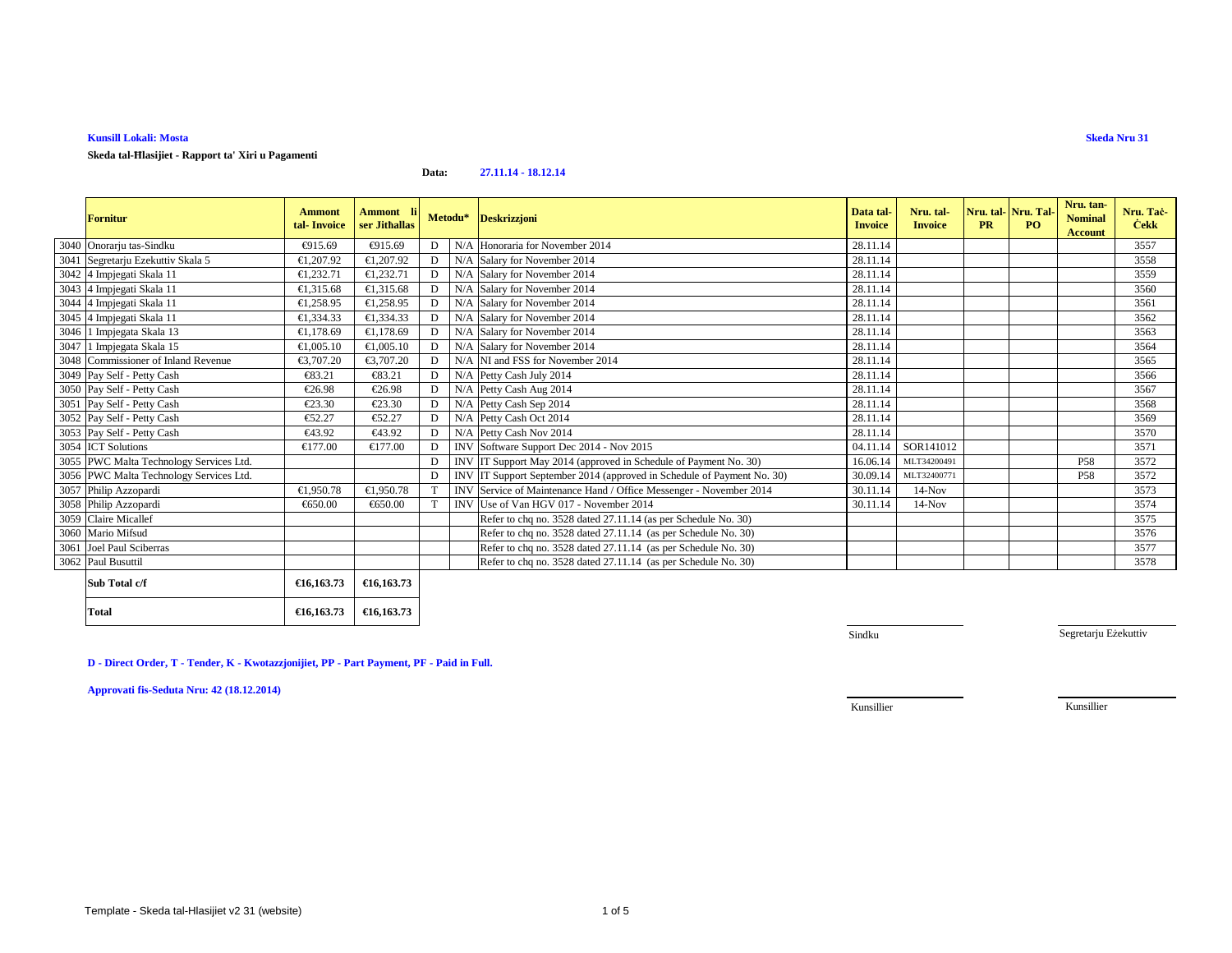#### **Kunsill Lokali: Mosta**

## **Skeda tal-Ħlasijiet - Rapport ta' Xiri u Pagamenti**

#### **Data:27.11.14 - 18.12.14**

| <b>Fornitur</b>                         | <b>Ammont</b><br>tal-Invoice | Ammont li<br>ser Jithallas |   |            | Metodu* Deskrizzjoni                                                   | Data tal-<br><b>Invoice</b> | Nru. tal-<br><b>Invoice</b> | <b>PR</b> | Nru. tal-Nru. Tal-<br>P <sub>O</sub> | Nru. tan-<br><b>Nominal</b><br>Account | Nru. Tac-<br><b>Cekk</b> |
|-----------------------------------------|------------------------------|----------------------------|---|------------|------------------------------------------------------------------------|-----------------------------|-----------------------------|-----------|--------------------------------------|----------------------------------------|--------------------------|
| 3040 Onorarju tas-Sindku                | €915.69                      | €915.69                    | D | N/A        | Honoraria for November 2014                                            | 28.11.14                    |                             |           |                                      |                                        | 3557                     |
| 3041 Segretarju Ezekuttiv Skala 5       | €1.207.92                    | €1,207.92                  | D |            | N/A Salary for November 2014                                           | 28.11.14                    |                             |           |                                      |                                        | 3558                     |
| 3042 4 Impjegati Skala 11               | €1,232.71                    | €1,232.71                  | D |            | N/A Salary for November 2014                                           | 28.11.14                    |                             |           |                                      |                                        | 3559                     |
| 3043 4 Impjegati Skala 11               | €1.315.68                    | €1.315.68                  | D |            | N/A Salary for November 2014                                           | 28.11.14                    |                             |           |                                      |                                        | 3560                     |
| 3044 4 Impjegati Skala 11               | €1,258.95                    | €1,258.95                  | D |            | N/A Salary for November 2014                                           | 28.11.14                    |                             |           |                                      |                                        | 3561                     |
| 3045 4 Impjegati Skala 11               | €1,334.33                    | €1,334.33                  | D |            | N/A Salary for November 2014                                           | 28.11.14                    |                             |           |                                      |                                        | 3562                     |
| 3046 1 Impjegata Skala 13               | €1,178.69                    | €1,178.69                  | D |            | N/A Salary for November 2014                                           | 28.11.14                    |                             |           |                                      |                                        | 3563                     |
| 3047 1 Impjegata Skala 15               | €1,005.10                    | €1,005.10                  | D |            | N/A Salary for November 2014                                           | 28.11.14                    |                             |           |                                      |                                        | 3564                     |
| 3048 Commissioner of Inland Revenue     | €3,707,20                    | €3,707.20                  | D |            | N/A NI and FSS for November 2014                                       | 28.11.14                    |                             |           |                                      |                                        | 3565                     |
| 3049 Pay Self - Petty Cash              | €83.21                       | €83.21                     | D |            | N/A Petty Cash July 2014                                               | 28.11.14                    |                             |           |                                      |                                        | 3566                     |
| 3050 Pay Self - Petty Cash              | €26.98                       | €26.98                     | D |            | N/A Petty Cash Aug 2014                                                | 28.11.14                    |                             |           |                                      |                                        | 3567                     |
| 3051 Pay Self - Petty Cash              | €23.30                       | €23.30                     | D |            | N/A Petty Cash Sep 2014                                                | 28.11.14                    |                             |           |                                      |                                        | 3568                     |
| 3052 Pay Self - Petty Cash              | €52.27                       | €52.27                     | D |            | N/A Petty Cash Oct 2014                                                | 28.11.14                    |                             |           |                                      |                                        | 3569                     |
| 3053 Pay Self - Petty Cash              | €43.92                       | €43.92                     | D |            | N/A Petty Cash Nov 2014                                                | 28.11.14                    |                             |           |                                      |                                        | 3570                     |
| 3054 ICT Solutions                      | €177.00                      | €177.00                    | D |            | INV Software Support Dec 2014 - Nov 2015                               | 04.11.14                    | SOR141012                   |           |                                      |                                        | 3571                     |
| 3055 PWC Malta Technology Services Ltd. |                              |                            | D |            | INV IT Support May 2014 (approved in Schedule of Payment No. 30)       | 16.06.14                    | MLT34200491                 |           |                                      | P <sub>58</sub>                        | 3572                     |
| 3056 PWC Malta Technology Services Ltd. |                              |                            | D |            | INV IT Support September 2014 (approved in Schedule of Payment No. 30) | 30.09.14                    | MLT32400771                 |           |                                      | <b>P58</b>                             | 3572                     |
| 3057 Philip Azzopardi                   | €1,950.78                    | €1,950.78                  |   |            | INV Service of Maintenance Hand Office Messenger - November 2014       | 30.11.14                    | $14-Nov$                    |           |                                      |                                        | 3573                     |
| 3058 Philip Azzopardi                   | €650.00                      | €650.00                    |   | <b>INV</b> | Use of Van HGV 017 - November 2014                                     | 30.11.14                    | $14-Nov$                    |           |                                      |                                        | 3574                     |
| 3059 Claire Micallef                    |                              |                            |   |            | Refer to chq no. 3528 dated 27.11.14 (as per Schedule No. 30)          |                             |                             |           |                                      |                                        | 3575                     |
| 3060 Mario Mifsud                       |                              |                            |   |            | Refer to chq no. 3528 dated 27.11.14 (as per Schedule No. 30)          |                             |                             |           |                                      |                                        | 3576                     |
| 3061 Joel Paul Sciberras                |                              |                            |   |            | Refer to chq no. 3528 dated 27.11.14 (as per Schedule No. 30)          |                             |                             |           |                                      |                                        | 3577                     |
| 3062 Paul Busuttil                      |                              |                            |   |            | Refer to chq no. 3528 dated 27.11.14 (as per Schedule No. 30)          |                             |                             |           |                                      |                                        | 3578                     |
| Sub Total c/f                           | €16,163.73                   | €16,163.73                 |   |            |                                                                        |                             |                             |           |                                      |                                        |                          |
| Total                                   | €16,163.73                   | €16,163.73                 |   |            |                                                                        |                             |                             |           |                                      |                                        |                          |

| ) Total C/I | $\text{E10.103.73}$ $\text{E10.103.73}$ |  |
|-------------|-----------------------------------------|--|
| al          | €16,163,73 €16,163,73                   |  |

Sindku

Segretarju Eżekuttiv

## **D - Direct Order, T - Tender, K - Kwotazzjonijiet, PP - Part Payment, PF - Paid in Full.**

**Approvati fis-Seduta Nru: 42 (18.12.2014)**

Kunsillier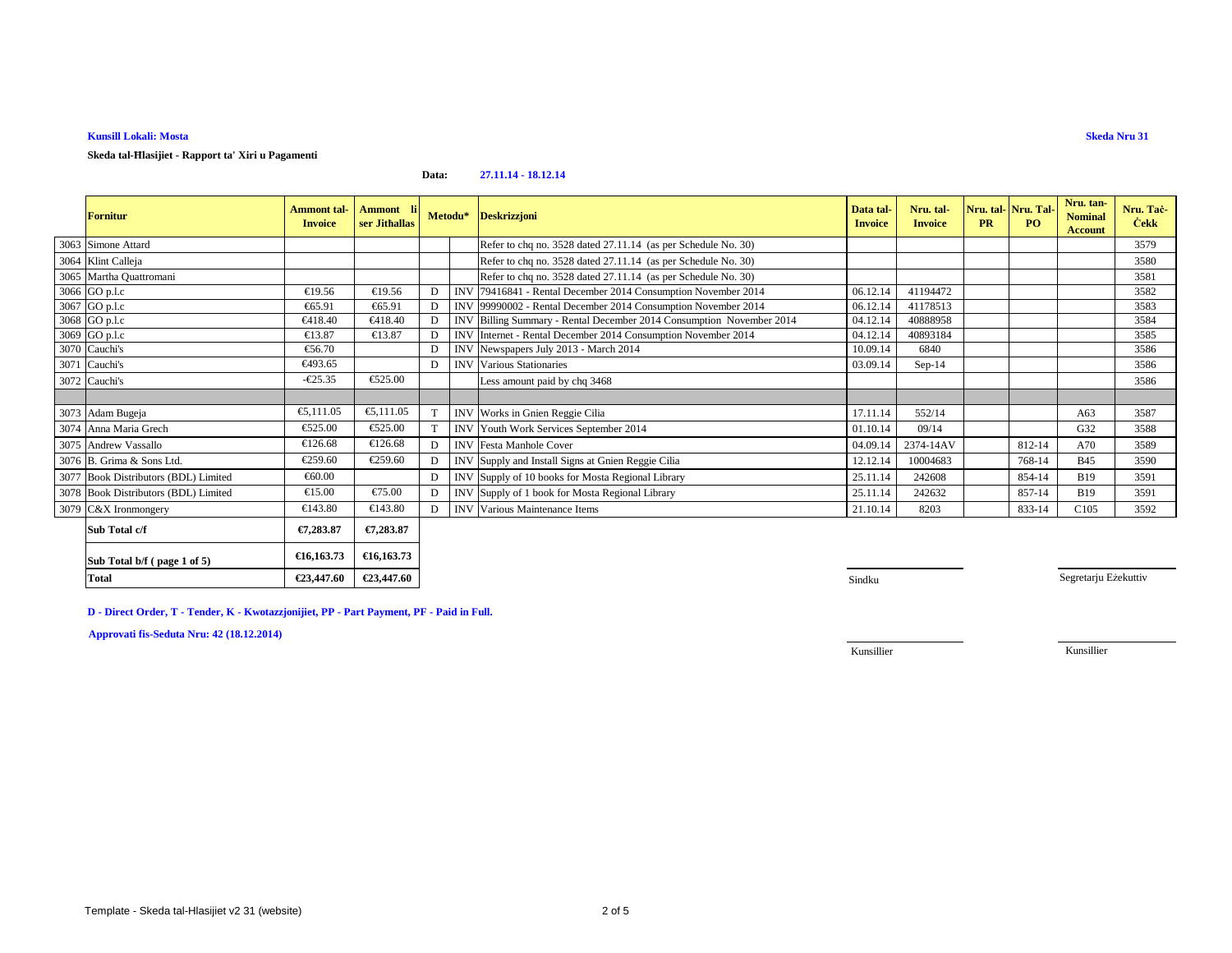## **Kunsill Lokali: Mosta**

### **Skeda tal-Ħlasijiet - Rapport ta' Xiri u Pagamenti**

#### **Data:27.11.14 - 18.12.14**

| <b>Fornitur</b>                      | <b>Ammont</b> tal-<br><b>Invoice</b> | Ammont li<br>ser Jithallas |   | Metodu*    | <b>Deskrizzjoni</b>                                              | Data tal-<br><b>Invoice</b> | Nru. tal-<br><b>Invoice</b> | <b>PR</b> | Nru. tal-Nru. Tal-<br>PO. | Nru. tan-<br><b>Nominal</b><br><b>Account</b> | Nru. Tac-<br><b>Cekk</b> |
|--------------------------------------|--------------------------------------|----------------------------|---|------------|------------------------------------------------------------------|-----------------------------|-----------------------------|-----------|---------------------------|-----------------------------------------------|--------------------------|
| 3063 Simone Attard                   |                                      |                            |   |            | Refer to chq no. 3528 dated 27.11.14 (as per Schedule No. 30)    |                             |                             |           |                           |                                               | 3579                     |
| 3064 Klint Calleja                   |                                      |                            |   |            | Refer to chq no. 3528 dated 27.11.14 (as per Schedule No. 30)    |                             |                             |           |                           |                                               | 3580                     |
| 3065 Martha Quattromani              |                                      |                            |   |            | Refer to chq no. 3528 dated 27.11.14 (as per Schedule No. 30)    |                             |                             |           |                           |                                               | 3581                     |
| 3066 GO p.l.c                        | €19.56                               | €19.56                     | D | <b>INV</b> | 79416841 - Rental December 2014 Consumption November 2014        | 06.12.14                    | 41194472                    |           |                           |                                               | 3582                     |
| 3067 GO p.l.c                        | €65.91                               | €65.91                     |   | <b>INV</b> | 99990002 - Rental December 2014 Consumption November 2014        | 06.12.1                     | 41178513                    |           |                           |                                               | 3583                     |
| 3068 GO p.l.c                        | €418.40                              | €418.40                    |   | <b>INV</b> | Billing Summary - Rental December 2014 Consumption November 2014 | 04.12.14                    | 40888958                    |           |                           |                                               | 3584                     |
| 3069 GO p.l.c                        | €13.87                               | €13.87                     |   | <b>INV</b> | Internet - Rental December 2014 Consumption November2014         | 04.12.14                    | 40893184                    |           |                           |                                               | 3585                     |
| 3070 Cauchi's                        | €56.70                               |                            | D | <b>INV</b> | Newspapers July 2013 - March 2014                                | 10.09.14                    | 6840                        |           |                           |                                               | 3586                     |
| 3071 Cauchi's                        | €493.65                              |                            | D | <b>INV</b> | Various Stationaries                                             | 03.09.14                    | $Sep-14$                    |           |                           |                                               | 3586                     |
| 3072 Cauchi's                        | $-625.35$                            | €525.00                    |   |            | Less amount paid by chq 3468                                     |                             |                             |           |                           |                                               | 3586                     |
|                                      |                                      |                            |   |            |                                                                  |                             |                             |           |                           |                                               |                          |
| 3073 Adam Bugeja                     | €5,111.05                            | €5,111.05                  | T |            | INV Works in Gnien Reggie Cilia                                  | 17.11.14                    | 552/14                      |           |                           | A63                                           | 3587                     |
| 3074 Anna Maria Grech                | €525.00                              | €525.00                    | T |            | INV Youth Work Services September 2014                           | 01.10.14                    | 09/14                       |           |                           | G <sub>32</sub>                               | 3588                     |
| 3075 Andrew Vassallo                 | €126.68                              | €126.68                    | D |            | <b>INV</b> Festa Manhole Cover                                   | 04.09.14                    | 2374-14AV                   |           | 812-14                    | A70                                           | 3589                     |
| 3076 B. Grima & Sons Ltd.            | €259.60                              | €259.60                    | D |            | INV Supply and Install Signs at Gnien Reggie Cilia               | 12.12.14                    | 10004683                    |           | 768-14                    | <b>B45</b>                                    | 3590                     |
| 3077 Book Distributors (BDL) Limited | €60.00                               |                            | D |            | INV Supply of 10 books for Mosta Regional Library                | 25.11.14                    | 242608                      |           | 854-14                    | <b>B19</b>                                    | 3591                     |
| 3078 Book Distributors (BDL) Limited | €15.00                               | €75.00                     | D |            | INV Supply of 1 book for Mosta Regional Library                  | 25.11.14                    | 242632                      |           | 857-14                    | <b>B19</b>                                    | 3591                     |
| 3079 C&X Ironmongery                 | €143.80                              | €143.80                    | D |            | <b>INV</b> Various Maintenance Items                             | 21.10.14                    | 8203                        |           | 833-14                    | C <sub>105</sub>                              | 3592                     |
| Sub Total c/f                        | €7,283.87                            | €7,283.87                  |   |            |                                                                  |                             |                             |           |                           |                                               |                          |
| Sub Total b/f (page 1 of 5)          | €16,163.73                           | €16,163.73                 |   |            |                                                                  |                             |                             |           |                           |                                               |                          |

**0** Sindku

Segretarju Eżekuttiv

**D - Direct Order, T - Tender, K - Kwotazzjonijiet, PP - Part Payment, PF - Paid in Full.**

**€23,447.60 €23,447.60**

**Approvati fis-Seduta Nru: 42 (18.12.2014)**

**Total**

Kunsillier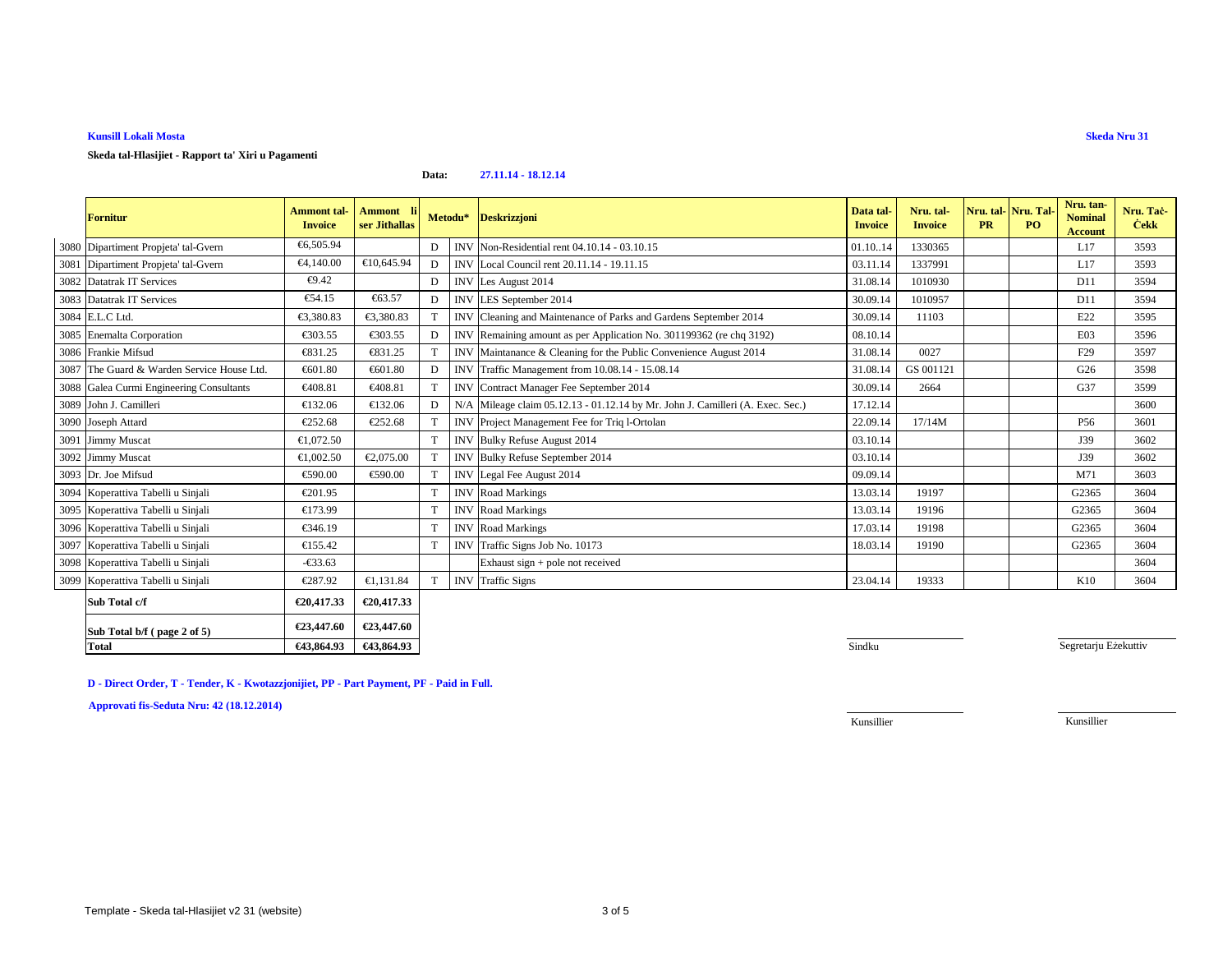## **Kunsill Lokali Mosta**

### **Skeda tal-Hlasijiet - Rapport ta' Xiri u Pagamenti**

#### **Data:27.11.14 - 18.12.14**

|      | <b>Fornitur</b>                            | Ammont tal-<br><b>Invoice</b> | Ammont li<br>ser Jithallas |              | Metodu*    | <b>Deskrizzjoni</b>                                                      | Data tal<br><b>Invoice</b> | Nru. tal-<br><b>Invoice</b> | <b>PR</b> | Nru. tal-Nru. Tal-<br><b>PO</b> | Nru. tan-<br><b>Nominal</b><br><b>Account</b> | Nru. Tač-<br><b>Cekk</b> |
|------|--------------------------------------------|-------------------------------|----------------------------|--------------|------------|--------------------------------------------------------------------------|----------------------------|-----------------------------|-----------|---------------------------------|-----------------------------------------------|--------------------------|
|      | 3080 Dipartiment Propjeta' tal-Gvern       | €6.505.94                     |                            | D            | INV.       | Non-Residential rent 04.10.14 - 03.10.15                                 | 01.1014                    | 1330365                     |           |                                 | L17                                           | 3593                     |
|      | 3081 Dipartiment Propjeta' tal-Gvern       | €4,140.00                     | €10,645.94                 | D            |            | INV Local Council rent 20.11.14 - 19.11.15                               | 03.11.14                   | 1337991                     |           |                                 | L17                                           | 3593                     |
|      | 3082 Datatrak IT Services                  | €9.42                         |                            | D            |            | INV Les August 2014                                                      | 31.08.14                   | 1010930                     |           |                                 | D11                                           | 3594                     |
|      | 3083 Datatrak IT Services                  | €54.15                        | €63.57                     | D            |            | INV LES September 2014                                                   | 30.09.14                   | 1010957                     |           |                                 | D11                                           | 3594                     |
|      | 3084 E.L.C Ltd.                            | €3.380.83                     | €3,380.83                  |              | <b>INV</b> | Cleaning and Maintenance of Parksand Gardens September 2014              | 30.09.14                   | 11103                       |           |                                 | E22                                           | 3595                     |
|      | 3085 Enemalta Corporation                  | €303.55                       | €303.55                    | D            | <b>INV</b> | Remaining amount as per Appliation No. 301199362 (re chq 3192)           | 08.10.14                   |                             |           |                                 | E03                                           | 3596                     |
|      | 3086 Frankie Mifsud                        | €831.25                       | €831.25                    |              | <b>INV</b> | Maintanance & Cleaning for the Public Convenience August 2014            | 31.08.14                   | 0027                        |           |                                 | F <sub>29</sub>                               | 3597                     |
|      | 3087 The Guard & Warden Service House Ltd. | €601.80                       | €601.80                    | D            | <b>INV</b> | Traffic Mnagement from 10.08.14 - 15.08.14                               | 31.08.14                   | GS 001121                   |           |                                 | G26                                           | 3598                     |
| 3088 | Galea Curmi Engineering Consultants        | €408.81                       | €408.81                    | $\mathbf T$  | <b>INV</b> | ContractManager Fee September 2014                                       | 30.09.14                   | 2664                        |           |                                 | G37                                           | 3599                     |
|      | 3089 John J. Camilleri                     | €132.06                       | €132.06                    | D            | N/4        | Mileage claim 05.12.13 - 01.12.14 by MrJohn J. Camilleri (A. Exec. Sec.) | 17.12.14                   |                             |           |                                 |                                               | 3600                     |
|      | 3090 Joseph Attard                         | €252.68                       | €252.68                    |              | <b>INV</b> | Project Management Fee for Triq IOrtolan                                 | 22.09.14                   | 17/14M                      |           |                                 | P <sub>56</sub>                               | 3601                     |
|      | 3091 Jimmy Muscat                          | €1,072.50                     |                            | T            | <b>INV</b> | Bulky Refuse August 2014                                                 | 03.10.14                   |                             |           |                                 | J39                                           | 3602                     |
|      | 3092 Jimmy Muscat                          | €1,002.50                     | €2,075.00                  |              | <b>INV</b> | Bulky Refuse September 2014                                              | 03.10.14                   |                             |           |                                 | J39                                           | 3602                     |
|      | 3093 Dr. Joe Mifsud                        | €590.00                       | €590.00                    |              | <b>INV</b> | Legal Fee August 2014                                                    | 09.09.14                   |                             |           |                                 | M71                                           | 3603                     |
|      | 3094 Koperattiva Tabelli u Sinjali         | €201.95                       |                            | T            |            | <b>INV</b> Road Markings                                                 | 13.03.14                   | 19197                       |           |                                 | G2365                                         | 3604                     |
|      | 3095 Koperattiva Tabelli u Sinjali         | €173.99                       |                            | T            | <b>INV</b> | Road Markings                                                            | 13.03.14                   | 19196                       |           |                                 | G2365                                         | 3604                     |
|      | 3096 Koperattiva Tabelli u Sinjali         | €346.19                       |                            | $\mathbf T$  | <b>INV</b> | Road Markings                                                            | 17.03.14                   | 19198                       |           |                                 | G2365                                         | 3604                     |
|      | 3097 Koperattiva Tabelli u Sinjali         | €155.42                       |                            | T            |            | INV Traffic Signs Job No.10173                                           | 18.03.14                   | 19190                       |           |                                 | G2365                                         | 3604                     |
|      | 3098 Koperattiva Tabelli u Sinjali         | $-633.63$                     |                            |              |            | Exhaust sign + pole notreceived                                          |                            |                             |           |                                 |                                               | 3604                     |
|      | 3099 Koperattiva Tabelli u Sinjali         | €287.92                       | €1,131.84                  | $\mathbf{T}$ | <b>INV</b> | <b>Traffic Signs</b>                                                     | 23.04.14                   | 19333                       |           |                                 | K10                                           | 3604                     |
|      | Sub Total c/f                              | €20,417.33                    | €20,417.33                 |              |            |                                                                          |                            |                             |           |                                 |                                               |                          |
|      | Sub Total b/f (page 2 of 5)                | €23,447.60                    | €23,447.60                 |              |            |                                                                          |                            |                             |           |                                 |                                               |                          |

**Sindku** Sindku and Sindku and Sindku and Sindku and Sindku and Sindku and Sindku and Sindku and Sindku and Sindku

Segretarju Eżekuttiv

**D - Direct Order, T - Tender, K - Kwotazzjonijiet, PP - Part Payment, PF - Paid in Full.**

**€43,864.93 €43,864.93**

**Approvati fis-Seduta Nru: 42 (18.12.2014)**

**Total**

Kunsillier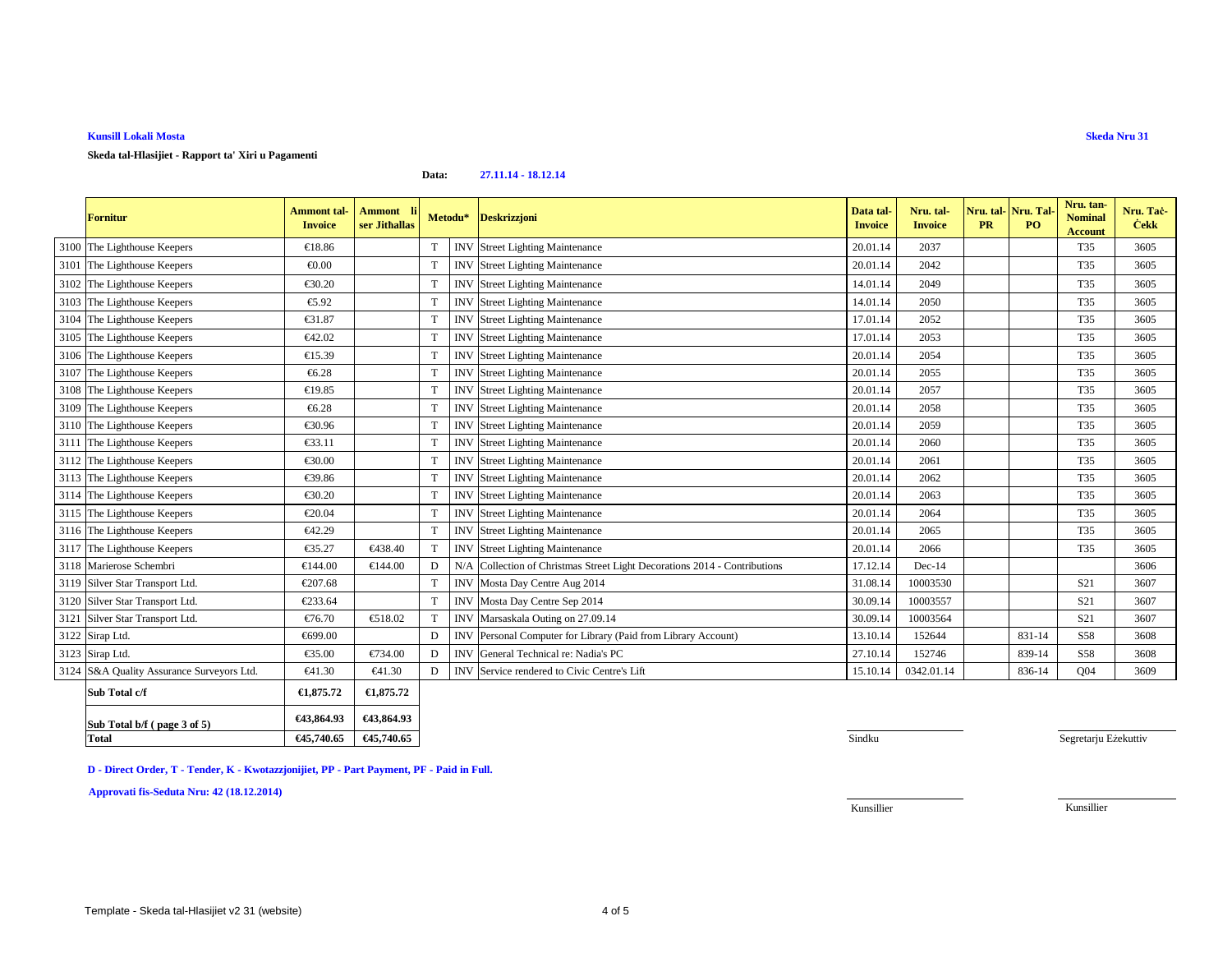| <b>Fornitur</b>                           | <b>Ammont tal-</b><br><b>Invoice</b> | Ammont li<br>ser Jithallas |             |            | Metodu* Deskrizzjoni                                                 | Data tal-<br><b>Invoice</b> | Nru. tal-<br><b>Invoice</b> | <b>PR</b> | Nru. tal-Nru. Tal-<br>PO. | Nru. tan-<br><b>Nominal</b><br><b>Account</b> | Nru. Tac-<br><b>Cekk</b> |
|-------------------------------------------|--------------------------------------|----------------------------|-------------|------------|----------------------------------------------------------------------|-----------------------------|-----------------------------|-----------|---------------------------|-----------------------------------------------|--------------------------|
| 3100 The Lighthouse Keepers               | €18.86                               |                            | T           | <b>INV</b> | <b>Street Lighting Maintenance</b>                                   | 20.01.14                    | 2037                        |           |                           | T35                                           | 3605                     |
| 3101 The Lighthouse Keepers               | € $0.00$                             |                            | $\mathbf T$ | <b>INV</b> | <b>Street Lighting Maintenance</b>                                   | 20.01.14                    | 2042                        |           |                           | T35                                           | 3605                     |
| 3102 The Lighthouse Keepers               | €30.20                               |                            | T           | <b>INV</b> | <b>Street Lighting Maintenance</b>                                   | 14.01.14                    | 2049                        |           |                           | T35                                           | 3605                     |
| 3103 The Lighthouse Keepers               | €5.92                                |                            | T           | <b>INV</b> | <b>Street Lighting Maintenance</b>                                   | 14.01.14                    | 2050                        |           |                           | T35                                           | 3605                     |
| 3104 The Lighthouse Keepers               | €31.87                               |                            | T           | <b>INV</b> | <b>Street Lighting Maintenance</b>                                   | 17.01.14                    | 2052                        |           |                           | <b>T35</b>                                    | 3605                     |
| 3105 The Lighthouse Keepers               | €42.02                               |                            | T           | <b>INV</b> | <b>Street Lighting Maintenance</b>                                   | 17.01.14                    | 2053                        |           |                           | <b>T35</b>                                    | 3605                     |
| 3106 The Lighthouse Keepers               | €15.39                               |                            | $\mathbf T$ | <b>INV</b> | <b>Street Lighting Maintenance</b>                                   | 20.01.14                    | 2054                        |           |                           | <b>T35</b>                                    | 3605                     |
| 3107 The Lighthouse Keepers               | €6.28                                |                            | T           | <b>INV</b> | <b>Street Lighting Maintenance</b>                                   | 20.01.14                    | 2055                        |           |                           | <b>T35</b>                                    | 3605                     |
| 3108 The Lighthouse Keepers               | €19.85                               |                            | $\mathbf T$ | <b>INV</b> | <b>Street Lighting Maintenance</b>                                   | 20.01.14                    | 2057                        |           |                           | <b>T35</b>                                    | 3605                     |
| 3109 The Lighthouse Keepers               | €6.28                                |                            | T           | <b>INV</b> | <b>Street Lighting Maintenance</b>                                   | 20.01.14                    | 2058                        |           |                           | T35                                           | 3605                     |
| 3110 The Lighthouse Keepers               | €30.96                               |                            | $\mathbf T$ | <b>INV</b> | <b>Street Lighting Maintenance</b>                                   | 20.01.14                    | 2059                        |           |                           | <b>T35</b>                                    | 3605                     |
| 3111 The Lighthouse Keepers               | €33.11                               |                            | T           | <b>INV</b> | <b>Street Lighting Maintenance</b>                                   | 20.01.14                    | 2060                        |           |                           | T35                                           | 3605                     |
| 3112 The Lighthouse Keepers               | €30.00                               |                            | T           | <b>INV</b> | <b>Street Lighting Maintenance</b>                                   | 20.01.14                    | 2061                        |           |                           | <b>T35</b>                                    | 3605                     |
| 3113 The Lighthouse Keepers               | €39.86                               |                            | T           | <b>INV</b> | <b>Street Lighting Maintenance</b>                                   | 20.01.14                    | 2062                        |           |                           | T35                                           | 3605                     |
| 3114 The Lighthouse Keepers               | €30.20                               |                            | T           | <b>INV</b> | Street Lighting Maintenance                                          | 20.01.14                    | 2063                        |           |                           | T35                                           | 3605                     |
| 3115 The Lighthouse Keepers               | €20.04                               |                            | T           | <b>INV</b> | <b>Street Lighting Maintenance</b>                                   | 20.01.14                    | 2064                        |           |                           | T35                                           | 3605                     |
| 3116 The Lighthouse Keepers               | €42.29                               |                            | $\mathbf T$ | <b>INV</b> | <b>Street Lighting Maintenance</b>                                   | 20.01.14                    | 2065                        |           |                           | T35                                           | 3605                     |
| 3117 The Lighthouse Keepers               | €35.27                               | €438.40                    | T           | <b>INV</b> | <b>Street Lighting Mainteance</b>                                    | 20.01.14                    | 2066                        |           |                           | <b>T35</b>                                    | 3605                     |
| 3118 Marierose Schembri                   | €144.00                              | €144.00                    | D           | N/A        | Collection of Christmas Stree Light Decorations 2014 - Contributions | 17.12.14                    | $Dec-14$                    |           |                           |                                               | 3606                     |
| 3119 Silver Star Transport Ltd.           | €207.68                              |                            | $\mathbf T$ | <b>INV</b> | Mosta Day Centre Aug 2014                                            | 31.08.14                    | 10003530                    |           |                           | S <sub>21</sub>                               | 3607                     |
| 3120 Silver Star Transport Ltd.           | €233.64                              |                            | $\mathbf T$ | <b>INV</b> | Mosta Day Centre Sep 2014                                            | 30.09.14                    | 10003557                    |           |                           | <b>S21</b>                                    | 3607                     |
| 3121 Silver Star Transport Ltd.           | €76.70                               | €518.02                    | T           | <b>INV</b> | Marsaskala Outing on 27.09.14                                        | 30.09.14                    | 10003564                    |           |                           | S <sub>21</sub>                               | 3607                     |
| 3122 Sirap Ltd.                           | €699.00                              |                            | D           | <b>INV</b> | Personal Computer for Library (Paid from Lbrary Account)             | 13.10.14                    | 152644                      |           | 831-14                    | S58                                           | 3608                     |
| 3123 Sirap Ltd.                           | €35.00                               | €734.00                    | D           | <b>INV</b> | General Technical re: Nadia's PC                                     | 27.10.14                    | 152746                      |           | 839-14                    | S58                                           | 3608                     |
| 3124 S&A Quality Assurance Surveyors Ltd. | €41.30                               | €41.30                     | D           | <b>INV</b> | Servicerendered to Civic Centre's Lift                               | 15.10.14                    | 0342.01.14                  |           | 836-14                    | Q <sub>04</sub>                               | 3609                     |
| Sub Total c/f                             | €1,875.72                            | €1,875.72                  |             |            |                                                                      |                             |                             |           |                           |                                               |                          |
| Sub Total b/f (page 3 of 5)               | €43,864.93                           | €43,864.93                 |             |            |                                                                      |                             |                             |           |                           |                                               |                          |

# **Kunsill Lokali Mosta**

**Skeda tal-Hlasijiet - Rapport ta' Xiri u Pagamenti**

#### **Data:27.11.14 - 18.12.14**

**D - Direct Order, T - Tender, K - Kwotazzjonijiet, PP - Part Payment, PF - Paid in Full.**

**Total €45,740.65 €45,740.65**

**Approvati fis-Seduta Nru: 42 (18.12.2014)**

5. Sindku Sindku Sindku Sindku Sindku Sindku Sindku Sindku Sindku Sindku Sindku Sindku Sindku Sindku Sindku Sindku Sindku Sindku Sindku Sindku Sindku Sindku Sindku Sindku Sindku Sindku Sindku Sindku Sindku Sindku Sindku Si

Segretarju Eżekuttiv

Kunsillier

Kunsillier

**Skeda Nru 31**